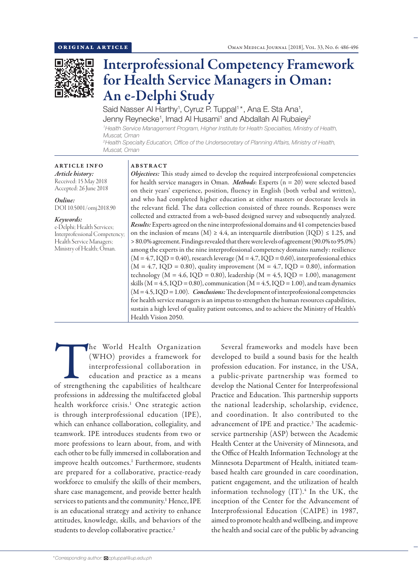

# Interprofessional Competency Framework for Health Service Managers in Oman: An e-Delphi Study

Said Nasser Al Harthy<sup>1</sup>, Cyruz P. Tuppal<sup>1\*</sup>, Ana E. Sta Ana<sup>1</sup>, Jenny Reynecke<sup>1</sup>, Imad Al Husami<sup>1</sup> and Abdallah Al Rubaiey<sup>2</sup> *1 Health Service Management Program, Higher Institute for Health Specialties, Ministry of Health, Muscat, Oman 2 Health Specialty Education, Office of the Undersecretary of Planning Affairs, Ministry of Health,*

*Muscat, Oman* ARTICLE INFO ABSTRACT

*Article history:* Received: 15 May 2018 Accepted: 26 June 2018

*Online:* DOI 10.5001/omj.2018.90

### *Keywords:*

e-Delphi; Health Services; Interprofessional Competency; Health Service Managers; Ministry of Health; Oman.

*Objectives:* This study aimed to develop the required interprofessional competencies for health service managers in Oman. *Methods*: Experts (n = 20) were selected based on their years' experience, position, fluency in English (both verbal and written), and who had completed higher education at either masters or doctorate levels in the relevant field. The data collection consisted of three rounds. Responses were collected and extracted from a web-based designed survey and subsequently analyzed. *Results:* Experts agreed on the nine interprofessional domains and 41 competencies based on the inclusion of means (M)  $\geq 4.4$ , an interquartile distribution (IQD)  $\leq 1.25$ , and > 80.0% agreement. Findings revealed that there were levels of agreement (90.0% to 95.0%) among the experts in the nine interprofessional competency domains namely: resilience  $(M = 4.7, IQD = 0.40)$ , research leverage  $(M = 4.7, IQD = 0.60)$ , interprofessional ethics  $(M = 4.7, IQD = 0.80)$ , quality improvement  $(M = 4.7, IQD = 0.80)$ , information technology ( $M = 4.6$ , IQD = 0.80), leadership ( $M = 4.5$ , IQD = 1.00), management skills ( $M = 4.5$ , IQD = 0.80), communication ( $M = 4.5$ , IQD = 1.00), and team dynamics (M = 4.5, IQD = 1.00). *Conclusions:* The development of interprofessional competencies for health service managers is an impetus to strengthen the human resources capabilities, sustain a high level of quality patient outcomes, and to achieve the Ministry of Health's Health Vision 2050.

The World Health Organization (WHO) provides a framework for interprofessional collaboration in education and practice as a means of strengthening the capabilities of healthcare (WHO) provides a framework for interprofessional collaboration in education and practice as a means professions in addressing the multifaceted global health workforce crisis.<sup>1</sup> One strategic action is through interprofessional education (IPE), which can enhance collaboration, collegiality, and teamwork. IPE introduces students from two or more professions to learn about, from, and with each other to be fully immersed in collaboration and improve health outcomes.<sup>1</sup> Furthermore, students are prepared for a collaborative, practice-ready workforce to emulsify the skills of their members, share case management, and provide better health services to patients and the community.<sup>1</sup> Hence, IPE is an educational strategy and activity to enhance attitudes, knowledge, skills, and behaviors of the students to develop collaborative practice.<sup>2</sup>

Several frameworks and models have been developed to build a sound basis for the health profession education. For instance, in the USA, a public-private partnership was formed to develop the National Center for Interprofessional Practice and Education. This partnership supports the national leadership, scholarship, evidence, and coordination. It also contributed to the advancement of IPE and practice.<sup>3</sup> The academicservice partnership (ASP) between the Academic Health Center at the University of Minnesota, and the Office of Health Information Technology at the Minnesota Department of Health, initiated teambased health care grounded in care coordination, patient engagement, and the utilization of health information technology  $(IT).<sup>4</sup>$  In the UK, the inception of the Center for the Advancement of Interprofessional Education (CAIPE) in 1987, aimed to promote health and wellbeing, and improve the health and social care of the public by advancing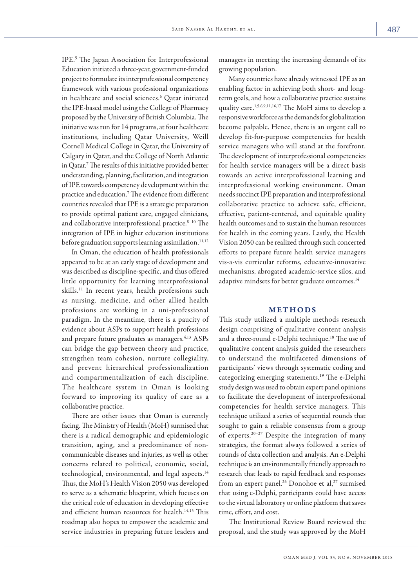IPE. 5 The Japan Association for Interprofessional Education initiated a three-year, government-funded project to formulate its interprofessional competency framework with various professional organizations in healthcare and social sciences.6 Qatar initiated the IPE-based model using the College of Pharmacy proposed by the University of British Columbia. The initiative was run for 14 programs, at four healthcare institutions, including Qatar University, Weill Cornell Medical College in Qatar, the University of Calgary in Qatar, and the College of North Atlantic in Qatar.7 The results of this initiative provided better understanding, planning, facilitation, and integration of IPE towards competency development within the practice and education.7 The evidence from different countries revealed that IPE is a strategic preparation to provide optimal patient care, engaged clinicians, and collaborative interprofessional practice. $8-10$  The integration of IPE in higher education institutions before graduation supports learning assimilation.<sup>11,12</sup>

In Oman, the education of health professionals appeared to be at an early stage of development and was described as discipline-specific, and thus offered little opportunity for learning interprofessional skills.11 In recent years, health professions such as nursing, medicine, and other allied health professions are working in a uni-professional paradigm. In the meantime, there is a paucity of evidence about ASPs to support health professions and prepare future graduates as managers.<sup>4,13</sup> ASPs can bridge the gap between theory and practice, strengthen team cohesion, nurture collegiality, and prevent hierarchical professionalization and compartmentalization of each discipline. The healthcare system in Oman is looking forward to improving its quality of care as a collaborative practice.

There are other issues that Oman is currently facing. The Ministry of Health (MoH) surmised that there is a radical demographic and epidemiologic transition, aging, and a predominance of noncommunicable diseases and injuries, as well as other concerns related to political, economic, social, technological, environmental, and legal aspects.14 Thus, the MoH's Health Vision 2050 was developed to serve as a schematic blueprint, which focuses on the critical role of education in developing effective and efficient human resources for health.<sup>14,15</sup> This roadmap also hopes to empower the academic and service industries in preparing future leaders and managers in meeting the increasing demands of its growing population.

Many countries have already witnessed IPE as an enabling factor in achieving both short- and longterm goals, and how a collaborative practice sustains quality care.1,5,6,9,11,16,17 The MoH aims to develop a responsive workforce as the demands for globalization become palpable. Hence, there is an urgent call to develop fit-for-purpose competencies for health service managers who will stand at the forefront. The development of interprofessional competencies for health service managers will be a direct basis towards an active interprofessional learning and interprofessional working environment. Oman needs succinct IPE preparation and interprofessional collaborative practice to achieve safe, efficient, effective, patient-centered, and equitable quality health outcomes and to sustain the human resources for health in the coming years. Lastly, the Health Vision 2050 can be realized through such concerted efforts to prepare future health service managers vis-a-vis curricular reforms, educative-innovative mechanisms, abrogated academic-service silos, and adaptive mindsets for better graduate outcomes.<sup>14</sup>

### METHODS

This study utilized a multiple methods research design comprising of qualitative content analysis and a three-round e-Delphi technique.18 The use of qualitative content analysis guided the researchers to understand the multifaceted dimensions of participants' views through systematic coding and categorizing emerging statements.<sup>19</sup> The e-Delphi study design was used to obtain expert panel opinions to facilitate the development of interprofessional competencies for health service managers. This technique utilized a series of sequential rounds that sought to gain a reliable consensus from a group of experts.20–27 Despite the integration of many strategies, the format always followed a series of rounds of data collection and analysis. An e-Delphi technique is an environmentally friendly approach to research that leads to rapid feedback and responses from an expert panel.<sup>26</sup> Donohoe et al,<sup>27</sup> surmised that using e-Delphi, participants could have access to the virtual laboratory or online platform that saves time, effort, and cost.

The Institutional Review Board reviewed the proposal, and the study was approved by the MoH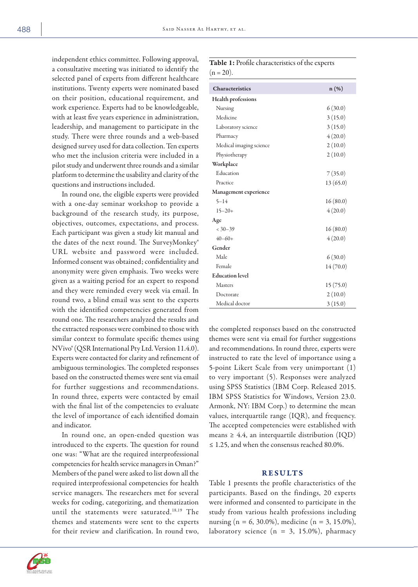independent ethics committee. Following approval, a consultative meeting was initiated to identify the selected panel of experts from different healthcare institutions. Twenty experts were nominated based on their position, educational requirement, and work experience. Experts had to be knowledgeable, with at least five years experience in administration, leadership, and management to participate in the study. There were three rounds and a web-based designed survey used for data collection. Ten experts who met the inclusion criteria were included in a pilot study and underwent three rounds and a similar platform to determine the usability and clarity of the questions and instructions included.

In round one, the eligible experts were provided with a one-day seminar workshop to provide a background of the research study, its purpose, objectives, outcomes, expectations, and process. Each participant was given a study kit manual and the dates of the next round. The SurveyMonkey® URL website and password were included. Informed consent was obtained; confidentiality and anonymity were given emphasis. Two weeks were given as a waiting period for an expert to respond and they were reminded every week via email. In round two, a blind email was sent to the experts with the identified competencies generated from round one. The researchers analyzed the results and the extracted responses were combined to those with similar context to formulate specific themes using NVivo® (QSR International Pty Ltd. Version 11.4.0). Experts were contacted for clarity and refinement of ambiguous terminologies. The completed responses based on the constructed themes were sent via email for further suggestions and recommendations. In round three, experts were contacted by email with the final list of the competencies to evaluate the level of importance of each identified domain and indicator.

In round one, an open-ended question was introduced to the experts. The question for round one was: "What are the required interprofessional competencies for health service managers in Oman?" Members of the panel were asked to list down all the required interprofessional competencies for health service managers. The researchers met for several weeks for coding, categorizing, and thematization until the statements were saturated.18,19 The themes and statements were sent to the experts for their review and clarification. In round two,

# Table 1: Profile characteristics of the experts  $(n = 20)$ .

| Characteristics           | $n(\%)$  |
|---------------------------|----------|
| <b>Health professions</b> |          |
| Nursing                   | 6(30.0)  |
| Medicine                  | 3(15.0)  |
| Laboratory science        | 3(15.0)  |
| Pharmacy                  | 4(20.0)  |
| Medical imaging science   | 2(10.0)  |
| Physiotherapy             | 2(10.0)  |
| Workplace                 |          |
| Education                 | 7(35.0)  |
| Practice                  | 13(65.0) |
| Management experience     |          |
| $5 - 14$                  | 16(80.0) |
| $15 - 20 +$               | 4(20.0)  |
| Age                       |          |
| $< 30 - 39$               | 16(80.0) |
| $40 - 60 +$               | 4(20.0)  |
| Gender                    |          |
| Male                      | 6(30.0)  |
| Female                    | 14(70.0) |
| <b>Education</b> level    |          |
| Masters                   | 15(75.0) |
| Doctorate                 | 2(10.0)  |
| Medical doctor            | 3(15.0)  |

the completed responses based on the constructed themes were sent via email for further suggestions and recommendations. In round three, experts were instructed to rate the level of importance using a 5-point Likert Scale from very unimportant (1) to very important (5). Responses were analyzed using SPSS Statistics (IBM Corp. Released 2015. IBM SPSS Statistics for Windows, Version 23.0. Armonk, NY: IBM Corp.) to determine the mean values, interquartile range (IQR), and frequency. The accepted competencies were established with means  $\geq 4.4$ , an interquartile distribution (IQD)  $\leq$  1.25, and when the consensus reached 80.0%.

## RESULTS

Table 1 presents the profile characteristics of the participants. Based on the findings, 20 experts were informed and consented to participate in the study from various health professions including nursing (n = 6, 30.0%), medicine (n = 3, 15.0%), laboratory science  $(n = 3, 15.0\%)$ , pharmacy

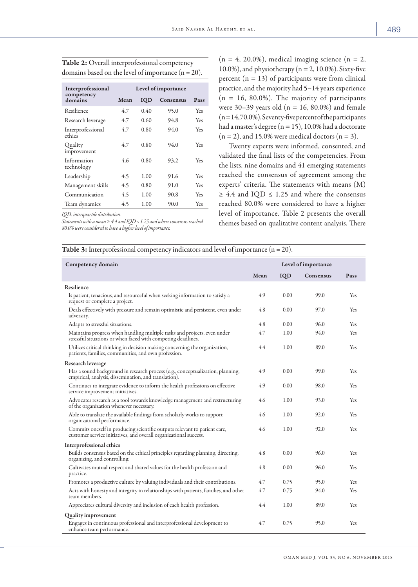| Interprofessional           | Level of importance |            |                  |      |  |
|-----------------------------|---------------------|------------|------------------|------|--|
| competency<br>domains       | Mean                | <b>IQD</b> | <b>Consensus</b> | Pass |  |
| Resilience                  | 4.7                 | 0.40       | 95.0             | Yes  |  |
| Research leverage           | 4.7                 | 0.60       | 94.8             | Yes  |  |
| Interprofessional<br>ethics | 4.7                 | 0.80       | 94.0             | Yes  |  |
| Quality<br>improvement      | 4.7                 | 0.80       | 94.0             | Yes  |  |
| Information<br>technology   | 4.6                 | 0.80       | 93.2             | Yes  |  |
| Leadership                  | 4.5                 | 1.00       | 91.6             | Yes  |  |
| Management skills           | 4.5                 | 0.80       | 91.0             | Yes  |  |
| Communication               | 4.5                 | 1.00       | 90.8             | Yes  |  |
| Team dynamics               | 4.5                 | 1.00       | 90.0             | Yes  |  |

Table 2: Overall interprofessional competency domains based on the level of importance (n = 20).

*IQD: interquartile distribution.* 

*Statements with a mean* ≥ *4.4 and IQD ≤ 1.25 and where consensus reached 80.0% were considered to have a higher level of importance.*

 $(n = 4, 20.0\%)$ , medical imaging science  $(n = 2,$ 10.0%), and physiotherapy ( $n = 2$ , 10.0%). Sixty-five percent  $(n = 13)$  of participants were from clinical practice, and the majority had 5–14 years experience  $(n = 16, 80.0\%)$ . The majority of participants were 30–39 years old ( $n = 16, 80.0\%$ ) and female  $(n=14,70.0\%)$ . Seventy-five percent of the participants had a master's degree ( $n = 15$ ), 10.0% had a doctorate  $(n = 2)$ , and 15.0% were medical doctors  $(n = 3)$ .

Twenty experts were informed, consented, and validated the final lists of the competencies. From the lists, nine domains and 41 emerging statements reached the consensus of agreement among the experts' criteria. The statements with means (M) ≥ 4.4 and IQD ≤ 1.25 and where the consensus reached 80.0% were considered to have a higher level of importance. Table 2 presents the overall themes based on qualitative content analysis. There

| <b>Table 3:</b> Interprofessional competency indicators and level of importance $(n = 20)$ . |  |  |  |
|----------------------------------------------------------------------------------------------|--|--|--|
|----------------------------------------------------------------------------------------------|--|--|--|

| Competency domain                                                                                                                              | Level of importance |            |           |            |
|------------------------------------------------------------------------------------------------------------------------------------------------|---------------------|------------|-----------|------------|
|                                                                                                                                                | Mean                | <b>IQD</b> | Consensus | Pass       |
| Resilience                                                                                                                                     |                     |            |           |            |
| Is patient, tenacious, and resourceful when seeking information to satisfy a<br>request or complete a project.                                 | 4.9                 | 0.00       | 99.0      | Yes        |
| Deals effectively with pressure and remain optimistic and persistent, even under<br>adversity.                                                 | 4.8                 | 0.00       | 97.0      | Yes        |
| Adapts to stressful situations.                                                                                                                | 4.8                 | 0.00       | 96.0      | Yes        |
| Maintains progress when handling multiple tasks and projects, even under<br>stressful situations or when faced with competing deadlines.       | 4.7                 | 1.00       | 94.0      | Yes        |
| Utilizes critical thinking in decision making concerning the organization,<br>patients, families, communities, and own profession.             | 4.4                 | 1.00       | 89.0      | Yes        |
| Research leverage                                                                                                                              |                     |            |           |            |
| Has a sound background in research process (e.g., conceptualization, planning,<br>empirical, analysis, dissemination, and translation).        | 4.9                 | 0.00       | 99.0      | Yes        |
| Continues to integrate evidence to inform the health professions on effective<br>service improvement initiatives.                              | 4.9                 | 0.00       | 98.0      | Yes        |
| Advocates research as a tool towards knowledge management and restructuring<br>of the organization whenever necessary.                         | 4.6                 | 1.00       | 93.0      | Yes        |
| Able to translate the available findings from scholarly works to support<br>organizational performance.                                        | 4.6                 | 1.00       | 92.0      | Yes        |
| Commits oneself in producing scientific outputs relevant to patient care,<br>customer service initiatives, and overall organizational success. | 4.6                 | 1.00       | 92.0      | Yes        |
| Interprofessional ethics                                                                                                                       |                     |            |           |            |
| Builds consensus based on the ethical principles regarding planning, directing,<br>organizing, and controlling.                                | 4.8                 | 0.00       | 96.0      | Yes        |
| Cultivates mutual respect and shared values for the health profession and<br>practice.                                                         | 4.8                 | 0.00       | 96.0      | Yes        |
| Promotes a productive culture by valuing individuals and their contributions.                                                                  | 4.7                 | 0.75       | 95.0      | Yes        |
| Acts with honesty and integrity in relationships with patients, families, and other<br>team members.                                           | 4.7                 | 0.75       | 94.0      | Yes        |
| Appreciates cultural diversity and inclusion of each health profession.                                                                        | 4.4                 | 1.00       | 89.0      | <b>Yes</b> |
| <b>Quality improvement</b>                                                                                                                     |                     |            |           |            |
| Engages in continuous professional and interprofessional development to<br>enhance team performance.                                           | 4.7                 | 0.75       | 95.0      | Yes        |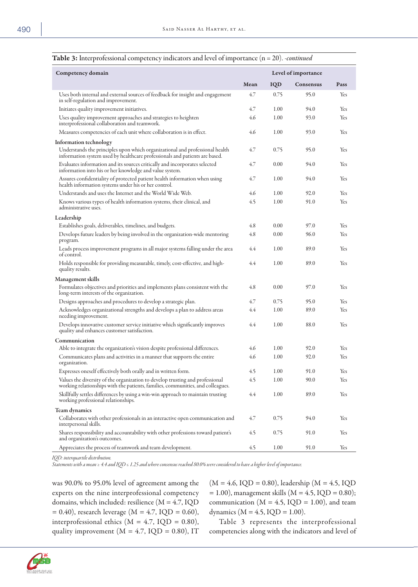# Table 3: Interprofessional competency indicators and level of importance (n = 20). *-continued*

| Competency domain                                                                                                                                                | Level of importance |      |           |      |
|------------------------------------------------------------------------------------------------------------------------------------------------------------------|---------------------|------|-----------|------|
|                                                                                                                                                                  | Mean                | IQD  | Consensus | Pass |
| Uses both internal and external sources of feedback for insight and engagement<br>in self-regulation and improvement.                                            | 4.7                 | 0.75 | 95.0      | Yes  |
| Initiates quality improvement initiatives.                                                                                                                       | 4.7                 | 1.00 | 94.0      | Yes  |
| Uses quality improvement approaches and strategies to heighten<br>interprofessional collaboration and teamwork.                                                  | 4.6                 | 1.00 | 93.0      | Yes  |
| Measures competencies of each unit where collaboration is in effect.                                                                                             | 4.6                 | 1.00 | 93.0      | Yes  |
| Information technology                                                                                                                                           |                     |      |           |      |
| Understands the principles upon which organizational and professional health<br>information system used by healthcare professionals and patients are based.      | 4.7                 | 0.75 | 95.0      | Yes  |
| Evaluates information and its sources critically and incorporates selected<br>information into his or her knowledge and value system.                            | 4.7                 | 0.00 | 94.0      | Yes  |
| Assures confidentiality of protected patient health information when using<br>health information systems under his or her control.                               | 4.7                 | 1.00 | 94.0      | Yes  |
| Understands and uses the Internet and the World Wide Web.                                                                                                        | 4.6                 | 1.00 | 92.0      | Yes  |
| Knows various types of health information systems, their clinical, and<br>administrative uses.                                                                   | 4.5                 | 1.00 | 91.0      | Yes  |
| Leadership                                                                                                                                                       |                     |      |           |      |
| Establishes goals, deliverables, timelines, and budgets.                                                                                                         | 4.8                 | 0.00 | 97.0      | Yes  |
| Develops future leaders by being involved in the organization-wide mentoring<br>program.                                                                         | 4.8                 | 0.00 | 96.0      | Yes  |
| Leads process improvement programs in all major systems falling under the area<br>of control.                                                                    | 4.4                 | 1.00 | 89.0      | Yes  |
| Holds responsible for providing measurable, timely, cost-effective, and high-<br>quality results.                                                                | 4.4                 | 1.00 | 89.0      | Yes  |
| <b>Management skills</b>                                                                                                                                         |                     |      |           |      |
| Formulates objectives and priorities and implements plans consistent with the<br>long-term interests of the organization.                                        | 4.8                 | 0.00 | 97.0      | Yes  |
| Designs approaches and procedures to develop a strategic plan.                                                                                                   | 4.7                 | 0.75 | 95.0      | Yes  |
| Acknowledges organizational strengths and develops a plan to address areas<br>needing improvement.                                                               | 4.4                 | 1.00 | 89.0      | Yes  |
| Develops innovative customer service initiative which significantly improves<br>quality and enhances customer satisfaction.                                      | 4.4                 | 1.00 | 88.0      | Yes  |
| Communication                                                                                                                                                    |                     |      |           |      |
| Able to integrate the organization's vision despite professional differences.                                                                                    | 4.6                 | 1.00 | 92.0      | Yes  |
| Communicates plans and activities in a manner that supports the entire<br>organization.                                                                          | 4.6                 | 1.00 | 92.0      | Yes  |
| Expresses oneself effectively both orally and in written form.                                                                                                   | 4.5                 | 1.00 | 91.0      | Yes  |
| Values the diversity of the organization to develop trusting and professional<br>working relationships with the patients, families, communities, and colleagues. | 4.5                 | 1.00 | 90.0      | Yes  |
| Skillfully settles differences by using a win-win approach to maintain trusting<br>working professional relationships.                                           | 4.4                 | 1.00 | 89.0      | Yes  |
| <b>Team dynamics</b>                                                                                                                                             |                     |      |           |      |
| Collaborates with other professionals in an interactive open communication and<br>interpersonal skills.                                                          | 4.7                 | 0.75 | 94.0      | Yes  |
| Shares responsibility and accountability with other professions toward patient's<br>and organization's outcomes.                                                 | 4.5                 | 0.75 | 91.0      | Yes  |
| Appreciates the process of teamwork and team development.                                                                                                        | 4.5                 | 1.00 | 91.0      | Yes  |

*IQD: interquartile distribution.* 

*Statements with a mean ≥ 4.4 and IQD ≤ 1.25 and where consensus reached 80.0% were considered to have a higher level of importance.*

was 90.0% to 95.0% level of agreement among the experts on the nine interprofessional competency domains, which included: resilience  $(M = 4.7, IQD)$  $= 0.40$ ), research leverage (M = 4.7, IQD = 0.60), interprofessional ethics (M = 4.7, IQD = 0.80), quality improvement ( $M = 4.7$ , IQD = 0.80), IT

 $(M = 4.6, IQD = 0.80)$ , leadership  $(M = 4.5, IQD)$  $= 1.00$ ), management skills (M = 4.5, IQD = 0.80); communication ( $M = 4.5$ , IQD = 1.00), and team dynamics ( $M = 4.5$ , IQD = 1.00).

Table 3 represents the interprofessional competencies along with the indicators and level of

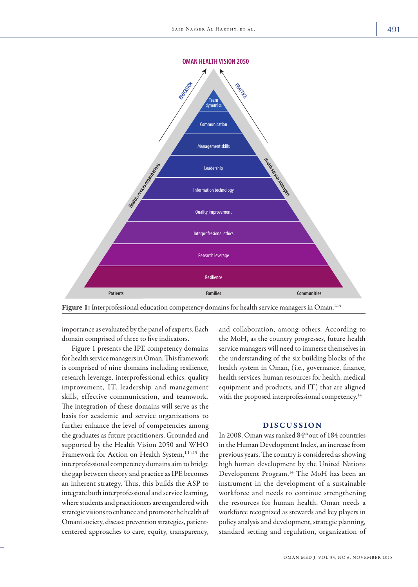

Figure 1: Interprofessional education competency domains for health service managers in Oman.<sup>1,14</sup>

importance as evaluated by the panel of experts. Each domain comprised of three to five indicators.

Figure 1 presents the IPE competency domains for health service managers in Oman. This framework is comprised of nine domains including resilience, research leverage, interprofessional ethics, quality improvement, IT, leadership and management skills, effective communication, and teamwork. The integration of these domains will serve as the basis for academic and service organizations to further enhance the level of competencies among the graduates as future practitioners. Grounded and supported by the Health Vision 2050 and WHO Framework for Action on Health System,<sup>1,14,15</sup> the interprofessional competency domains aim to bridge the gap between theory and practice as IPE becomes an inherent strategy. Thus, this builds the ASP to integrate both interprofessional and service learning, where students and practitioners are engendered with strategic visions to enhance and promote the health of Omani society, disease prevention strategies, patientcentered approaches to care, equity, transparency,

and collaboration, among others. According to the MoH, as the country progresses, future health service managers will need to immerse themselves in the understanding of the six building blocks of the health system in Oman, (i.e., governance, finance, health services, human resources for health, medical equipment and products, and IT) that are aligned with the proposed interprofessional competency.<sup>14</sup>

## DISCUSSION

In 2008, Oman was ranked 84<sup>th</sup> out of 184 countries in the Human Development Index, an increase from previous years. The country is considered as showing high human development by the United Nations Development Program.14 The MoH has been an instrument in the development of a sustainable workforce and needs to continue strengthening the resources for human health. Oman needs a workforce recognized as stewards and key players in policy analysis and development, strategic planning, standard setting and regulation, organization of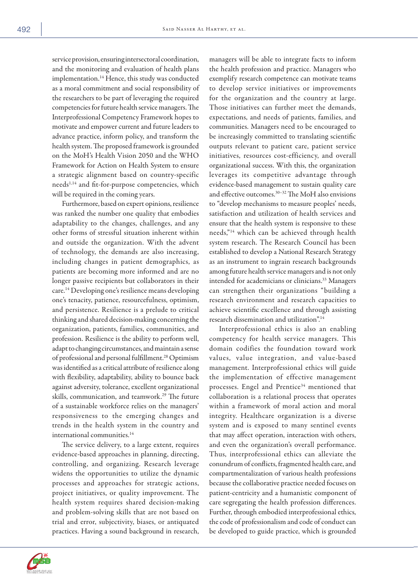service provision, ensuring intersectoral coordination, and the monitoring and evaluation of health plans implementation.<sup>14</sup> Hence, this study was conducted as a moral commitment and social responsibility of the researchers to be part of leveraging the required competencies for future health service managers. The Interprofessional Competency Framework hopes to motivate and empower current and future leaders to advance practice, inform policy, and transform the health system. The proposed framework is grounded on the MoH's Health Vision 2050 and the WHO Framework for Action on Health System to ensure a strategic alignment based on country-specific needs<sup>1,14</sup> and fit-for-purpose competencies, which will be required in the coming years.

Furthermore, based on expert opinions, resilience was ranked the number one quality that embodies adaptability to the changes, challenges, and any other forms of stressful situation inherent within and outside the organization. With the advent of technology, the demands are also increasing, including changes in patient demographics, as patients are becoming more informed and are no longer passive recipients but collaborators in their care.14 Developing one's resilience means developing one's tenacity, patience, resourcefulness, optimism, and persistence. Resilience is a prelude to critical thinking and shared decision-making concerning the organization, patients, families, communities, and profession. Resilience is the ability to perform well, adapt to changing circumstances, and maintain a sense of professional and personal fulfillment.28 Optimism was identified as a critical attribute of resilience along with flexibility, adaptability, ability to bounce back against adversity, tolerance, excellent organizational skills, communication, and teamwork.<sup>29</sup> The future of a sustainable workforce relies on the managers' responsiveness to the emerging changes and trends in the health system in the country and international communities.<sup>14</sup>

The service delivery, to a large extent, requires evidence-based approaches in planning, directing, controlling, and organizing. Research leverage widens the opportunities to utilize the dynamic processes and approaches for strategic actions, project initiatives, or quality improvement. The health system requires shared decision-making and problem-solving skills that are not based on trial and error, subjectivity, biases, or antiquated practices. Having a sound background in research,

managers will be able to integrate facts to inform the health profession and practice. Managers who exemplify research competence can motivate teams to develop service initiatives or improvements for the organization and the country at large. Those initiatives can further meet the demands, expectations, and needs of patients, families, and communities. Managers need to be encouraged to be increasingly committed to translating scientific outputs relevant to patient care, patient service initiatives, resources cost-efficiency, and overall organizational success. With this, the organization leverages its competitive advantage through evidence-based management to sustain quality care and effective outcomes.30–32 The MoH also envisions to "develop mechanisms to measure peoples' needs, satisfaction and utilization of health services and ensure that the health system is responsive to these needs,"14 which can be achieved through health system research. The Research Council has been established to develop a National Research Strategy as an instrument to ingrain research backgrounds among future health service managers and is not only intended for academicians or clinicians.<sup>33</sup> Managers can strengthen their organizations "building a research environment and research capacities to achieve scientific excellence and through assisting research dissemination and utilization".14

Interprofessional ethics is also an enabling competency for health service managers. This domain codifies the foundation toward work values, value integration, and value-based management. Interprofessional ethics will guide the implementation of effective management processes. Engel and Prentice<sup>34</sup> mentioned that collaboration is a relational process that operates within a framework of moral action and moral integrity. Healthcare organization is a diverse system and is exposed to many sentinel events that may affect operation, interaction with others, and even the organization's overall performance. Thus, interprofessional ethics can alleviate the conundrum of conflicts, fragmented health care, and compartmentalization of various health professions because the collaborative practice needed focuses on patient-centricity and a humanistic component of care segregating the health profession differences. Further, through embodied interprofessional ethics, the code of professionalism and code of conduct can be developed to guide practice, which is grounded

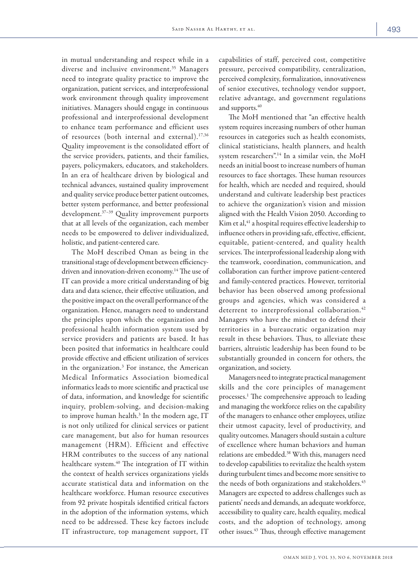in mutual understanding and respect while in a diverse and inclusive environment.35 Managers need to integrate quality practice to improve the organization, patient services, and interprofessional work environment through quality improvement initiatives. Managers should engage in continuous professional and interprofessional development to enhance team performance and efficient uses of resources (both internal and external).17,36 Quality improvement is the consolidated effort of the service providers, patients, and their families, payers, policymakers, educators, and stakeholders. In an era of healthcare driven by biological and technical advances, sustained quality improvement and quality service produce better patient outcomes, better system performance, and better professional development.37–39 Quality improvement purports that at all levels of the organization, each member needs to be empowered to deliver individualized, holistic, and patient-centered care.

The MoH described Oman as being in the transitional stage of development between efficiencydriven and innovation-driven economy.<sup>14</sup> The use of IT can provide a more critical understanding of big data and data science, their effective utilization, and the positive impact on the overall performance of the organization. Hence, managers need to understand the principles upon which the organization and professional health information system used by service providers and patients are based. It has been posited that informatics in healthcare could provide effective and efficient utilization of services in the organization.3 For instance, the American Medical Informatics Association biomedical informatics leads to more scientific and practical use of data, information, and knowledge for scientific inquiry, problem-solving, and decision-making to improve human health.<sup>3</sup> In the modern age, IT is not only utilized for clinical services or patient care management, but also for human resources management (HRM). Efficient and effective HRM contributes to the success of any national healthcare system.<sup>40</sup> The integration of IT within the context of health services organizations yields accurate statistical data and information on the healthcare workforce. Human resource executives from 92 private hospitals identified critical factors in the adoption of the information systems, which need to be addressed. These key factors include IT infrastructure, top management support, IT

capabilities of staff, perceived cost, competitive pressure, perceived compatibility, centralization, perceived complexity, formalization, innovativeness of senior executives, technology vendor support, relative advantage, and government regulations and supports.<sup>40</sup>

The MoH mentioned that "an effective health system requires increasing numbers of other human resources in categories such as health economists, clinical statisticians, health planners, and health system researchers".14 In a similar vein, the MoH needs an initial boost to increase numbers of human resources to face shortages. These human resources for health, which are needed and required, should understand and cultivate leadership best practices to achieve the organization's vision and mission aligned with the Health Vision 2050. According to Kim et al,<sup>41</sup> a hospital requires effective leadership to influence others in providing safe, effective, efficient, equitable, patient-centered, and quality health services. The interprofessional leadership along with the teamwork, coordination, communication, and collaboration can further improve patient-centered and family-centered practices. However, territorial behavior has been observed among professional groups and agencies, which was considered a deterrent to interprofessional collaboration.<sup>42</sup> Managers who have the mindset to defend their territories in a bureaucratic organization may result in these behaviors. Thus, to alleviate these barriers, altruistic leadership has been found to be substantially grounded in concern for others, the organization, and society.

Managers need to integrate practical management skills and the core principles of management processes.<sup>1</sup> The comprehensive approach to leading and managing the workforce relies on the capability of the managers to enhance other employees, utilize their utmost capacity, level of productivity, and quality outcomes. Managers should sustain a culture of excellence where human behaviors and human relations are embedded.38 With this, managers need to develop capabilities to revitalize the health system during turbulent times and become more sensitive to the needs of both organizations and stakeholders.<sup>43</sup> Managers are expected to address challenges such as patients' needs and demands, an adequate workforce, accessibility to quality care, health equality, medical costs, and the adoption of technology, among other issues.43 Thus, through effective management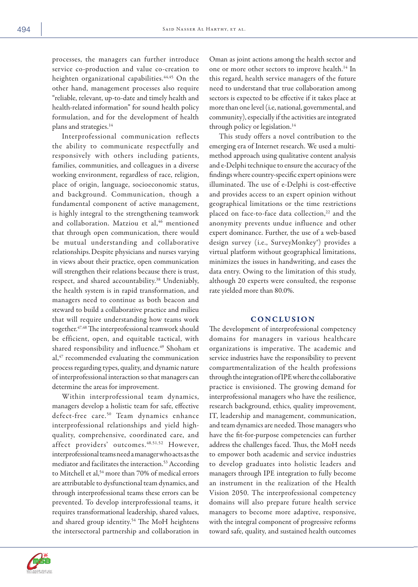processes, the managers can further introduce service co-production and value co-creation to heighten organizational capabilities.<sup>44,45</sup> On the other hand, management processes also require "reliable, relevant, up-to-date and timely health and health-related information" for sound health policy formulation, and for the development of health plans and strategies.<sup>14</sup>

Interprofessional communication reflects the ability to communicate respectfully and responsively with others including patients, families, communities, and colleagues in a diverse working environment, regardless of race, religion, place of origin, language, socioeconomic status, and background. Communication, though a fundamental component of active management, is highly integral to the strengthening teamwork and collaboration. Matziou et al,<sup>46</sup> mentioned that through open communication, there would be mutual understanding and collaborative relationships.Despite physicians and nurses varying in views about their practice, open communication will strengthen their relations because there is trust, respect, and shared accountability.38 Undeniably, the health system is in rapid transformation, and managers need to continue as both beacon and steward to build a collaborative practice and milieu that will require understanding how teams work together.47,48 The interprofessional teamwork should be efficient, open, and equitable tactical, with shared responsibility and influence.<sup>49</sup> Shoham et al,<sup>47</sup> recommended evaluating the communication process regarding types, quality, and dynamic nature of interprofessional interaction so that managers can determine the areas for improvement.

Within interprofessional team dynamics, managers develop a holistic team for safe, effective defect-free care.<sup>50</sup> Team dynamics enhance interprofessional relationships and yield highquality, comprehensive, coordinated care, and affect providers' outcomes.<sup>48,51,52</sup> However, interprofessional teams need a manager who acts as the mediator and facilitates the interaction.<sup>53</sup> According to Mitchell et al,<sup>54</sup> more than 70% of medical errors are attributable to dysfunctional team dynamics, and through interprofessional teams these errors can be prevented. To develop interprofessional teams, it requires transformational leadership, shared values, and shared group identity.<sup>54</sup> The MoH heightens the intersectoral partnership and collaboration in

Oman as joint actions among the health sector and one or more other sectors to improve health.<sup>14</sup> In this regard, health service managers of the future need to understand that true collaboration among sectors is expected to be effective if it takes place at more than one level (i.e, national, governmental, and community), especially if the activities are integrated through policy or legislation.<sup>14</sup>

This study offers a novel contribution to the emerging era of Internet research. We used a multimethod approach using qualitative content analysis and e-Delphi technique to ensure the accuracy of the findings where country-specific expert opinions were illuminated. The use of e-Delphi is cost-effective and provides access to an expert opinion without geographical limitations or the time restrictions placed on face-to-face data collection,<sup>22</sup> and the anonymity prevents undue influence and other expert dominance. Further, the use of a web-based design survey (i.e., SurveyMonkey®) provides a virtual platform without geographical limitations, minimizes the issues in handwriting, and eases the data entry. Owing to the limitation of this study, although 20 experts were consulted, the response rate yielded more than 80.0%.

## **CONCLUSION**

The development of interprofessional competency domains for managers in various healthcare organizations is imperative. The academic and service industries have the responsibility to prevent compartmentalization of the health professions through the integration of IPE where the collaborative practice is envisioned. The growing demand for interprofessional managers who have the resilience, research background, ethics, quality improvement, IT, leadership and management, communication, and team dynamics are needed. Those managers who have the fit-for-purpose competencies can further address the challenges faced. Thus, the MoH needs to empower both academic and service industries to develop graduates into holistic leaders and managers through IPE integration to fully become an instrument in the realization of the Health Vision 2050. The interprofessional competency domains will also prepare future health service managers to become more adaptive, responsive, with the integral component of progressive reforms toward safe, quality, and sustained health outcomes

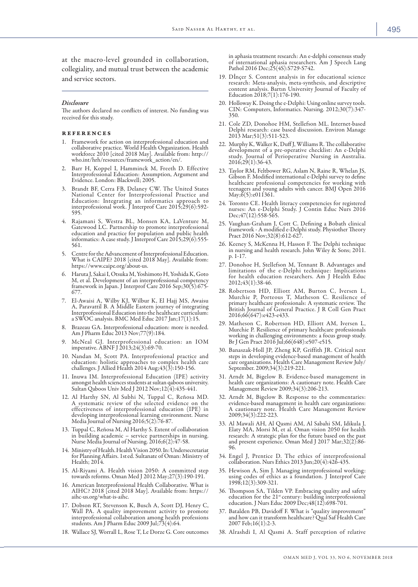at the macro-level grounded in collaboration, collegiality, and mutual trust between the academic and service sectors.

#### *Disclosure*

The authors declared no conflicts of interest. No funding was received for this study.

#### references

- 1. Framework for action on interprofessional education and collaborative practice. World Health Organization. Health workforce 2010 [cited 2018 May]. Available from: http:// who.int/hrh/resources/framework\_action/en/.
- 2. Barr H, Koppel I, Hamminck M, Freeth D. Effective Interprofessional Education: Assumption, Argument and Evidence. London: Blackwell; 2005.
- 3. Brandt BF, Cerra FB, Delaney CW. The United States National Center for Interprofessional Practice and Education: Integrating an informatics approach to interprofessional work. J Interprof Care 2015;29(6):592- 595.
- 4. Rajamani S, Westra BL, Monsen KA, LaVenture M, Gatewood LC. Partnership to promote interprofessional education and practice for population and public health informatics: A case study. J Interprof Care 2015;29(6):555- 561.
- 5. Centre for the Advancement of Interprofessional Education. What is CAIPE? 2018 [cited 2018 May]. Available from: https://www.caipe.org/about-us.
- 6. Haruta J, Sakai I, Otsuka M, Yoshimoto H, Yoshida K, Goto framework in Japan. J Interprof Care 2016 Sep;30(5):675-677.
- 7. El-Awaisi A, Wilby KJ, Wilbur K, El Hajj MS, Awaisu Interprofessional Education into the healthcare curriculum: a SWOC analysis. BMC Med Educ 2017 Jan;17(1):15.
- 8. Brazeau GA. Interprofessional education: more is needed. Am J Pharm Educ 2013 Nov;77(9):184.
- 9. McNeal GJ. Interprofessional education: an IOM imperative. ABNF J 2013;24(3):69-70.
- 10. Nandan M, Scott PA. Interprofessional practice and education: holistic approaches to complex health care challenges. J Allied Health 2014 Aug;43(3):150-156.
- 11. Inuwa IM. Interprofessional Education (IPE) activity amongst health sciences students at sultan qaboos university. Sultan Qaboos Univ Med J 2012 Nov;12(4):435-441.
- 12. Al Harthy SN, Al Subhi N, Tuppal C, Reñosa MD. A systematic review of the selected evidence on the effectiveness of interprofessional education (IPE) in developing interprofessional learning environment. Nurse Media Journal of Nursing 2016;5(2):76-87.
- 13. Tuppal C, Reñosa M, Al Harthy S. Extent of collaboration in building academic – service partnerships in nursing. Nurse Media Journal of Nursing. 2016;6(2):47-58.
- 14. Ministry of Health. Health Vision 2050. In: Undersecretariat for Planning Affairs. 1sted. Sultanate of Oman: Ministry of Health; 2014.
- 15. Al-Riyami A. Health vision 2050: A committed step towards reforms. Oman Med J 2012 May;27(3):190-191.
- 16. American Interprofessional Health Collaborative. What is AIHC? 2018 [cited 2018 May]. Available from: https:// aihc-us.org/what-is-aihc.
- 17. Dobson RT, Stevenson K, Busch A, Scott DJ, Henry C, Wall PA. A quality improvement activity to promote interprofessional collaboration among health professions students. Am J Pharm Educ 2009 Jul;73(4):64.
- 18. Wallace SJ, Worrall L, Rose T, Le Dorze G. Core outcomes

in aphasia treatment research: An e-delphi consensus study of international aphasia researchers. Am J Speech Lang Pathol 2016 Dec;25(4S):S729-S742.

- 19. Dİnçer S. Content analysis in for educational science content analysis. Bartın University Journal of Faculty of Education 2018;7(1):176-190.
- 20. Holloway K. Doing the e-Delphi: Using online survey tools. CIN: Computers, Informatics. Nursing. 2012;30(7):347- 350.
- 21. Cole ZD, Donohoe HM, Stellefson ML. Internet-based Delphi research: case based discussion. Environ Manage 2013 Mar;51(3):511-523.
- 22. Murphy K, Walker K, Duff J, Williams R. The collaborative development of a pre-operative checklist: An e-Delphi development of a pre-operative checklist: An e-Delphi study. Journal of Perioperative Nursing in Australia. 2016;29(1):36-43.
- 23. Taylor RM, Feltbower RG, Aslam N, Raine R, Whelan JS, healthcare professional competencies for working with teenagers and young adults with cancer. BMJ Open 2016 May;6(5):e011361.
- 24. Toronto CE. Health literacy competencies for registered nurses: An e-Delphi Study. J Contin Educ Nurs 2016 Dec;47(12):558-565.
- 25. Vaughan-Graham J, Cott C. Defining a Bobath clinical framework - A modified e-Delphi study. Physiother Theory Pract 2016 Nov;32(8):612-627.
- 26. Keeney S, McKenna H, Hasson F. The Delphi technique in nursing and health research. John Wiley & Sons; 2011. p. 1-17.
- 27. Donohoe H, Stellefson M, Tennant B. Advantages and limitations of the e-Delphi technique: Implications for health education researchers. Am J Health Educ 2012;43(1):38-46.
- 28. Robertson HD, Elliott AM, Burton C, Iversen L, Murchie P, Porteous T, Matheson C. Resilience of primary healthcare professionals: A systematic review. The British Journal of General Practice. J R Coll Gen Pract 2016;66(647):e423-e433.
- 29. Matheson C, Robertson HD, Elliott AM, Iversen L, Murchie P. Resilience of primary healthcare professionals working in challenging environments: a focus group study. Br J Gen Pract 2016 Jul;66(648):e507-e515.
- 30. Banaszak-Holl JP, Zheng KP, Griffith JR. Critical next steps in developing evidence-based management of health care organizations. Health Care Management Review July/ September. 2009;34(3):219-221.
- 31. Arndt M, Bigelow B. Evidence-based management in health care organizations: A cautionary note. Health Care Management Review 2009;34(3):206-213.
- 32. Arndt M, Bigelow B. Response to the commentaries: evidence-based management in health care organizations: A cautionary note. Health Care Management Review 2009;34(3):222-223.
- 33. Al Mawali AH, Al Qasmi AM, Al Sabahi SM, Idikula J, Elaty MA, Morsi M, et al. Oman vision 2050 for health and present experience. Oman Med J 2017 Mar;32(2):86-96.
- 34. Engel J, Prentice D. The ethics of interprofessional collaboration. Nurs Ethics 2013 Jun;20(4):426-435.
- 35. Hewison A, Sim J. Managing interprofessional working: using codes of ethics as a foundation. J Interprof Care 1998;12(3):309-321.
- 36. Thompson SA, Tilden VP. Embracing quality and safety education for the 21<sup>st</sup> century: building interprofessional education. J Nurs Educ 2009 Dec;48(12):698-701.
- 37. Batalden PB, Davidoff F. What is "quality improvement" and how can it transform healthcare? Qual Saf Health Care 2007 Feb;16(1):2-3.
- 38. Alrashdi I, Al Qasmi A. Staff perception of relative